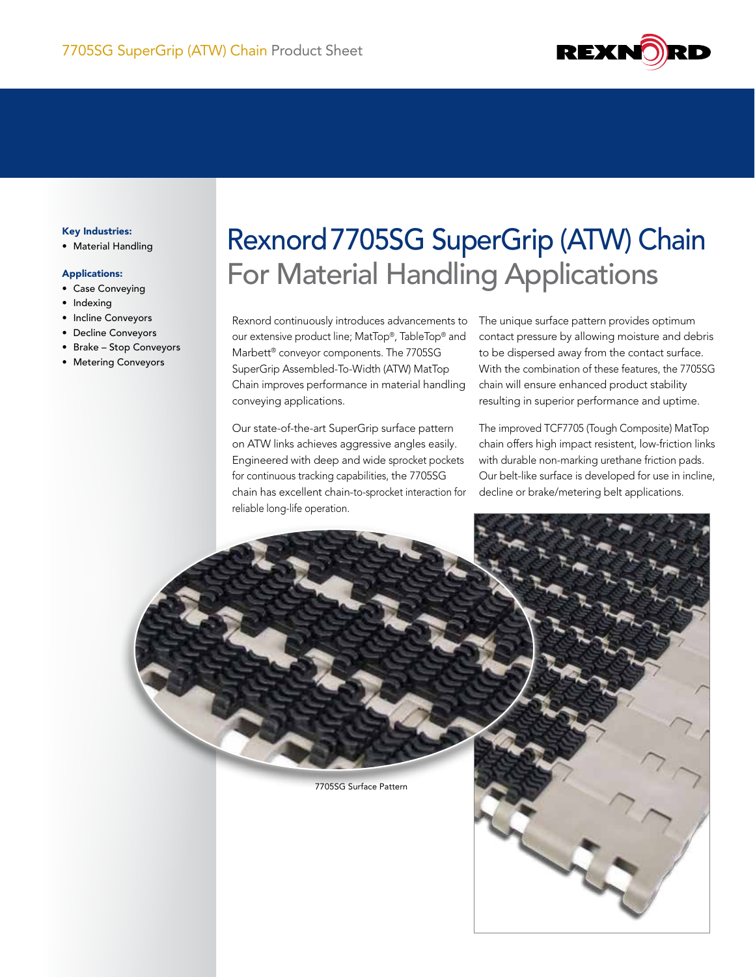

### Key Industries:

• Material Handling

#### Applications:

- Case Conveying
- Indexing
- • Incline Conveyors
- • Decline Conveyors
- • Brake Stop Conveyors
- • Metering Conveyors

# Rexnord7705SG SuperGrip (ATW) Chain For Material Handling Applications

Rexnord continuously introduces advancements to our extensive product line; MatTop®, TableTop® and Marbett® conveyor components. The 7705SG SuperGrip Assembled-To-Width (ATW) MatTop Chain improves performance in material handling conveying applications.

Our state-of-the-art SuperGrip surface pattern on ATW links achieves aggressive angles easily. Engineered with deep and wide sprocket pockets for continuous tracking capabilities, the 7705SG chain has excellent chain-to-sprocket interaction for reliable long-life operation.

The unique surface pattern provides optimum contact pressure by allowing moisture and debris to be dispersed away from the contact surface. With the combination of these features, the 7705SG chain will ensure enhanced product stability resulting in superior performance and uptime.

The improved TCF7705 (Tough Composite) MatTop chain offers high impact resistent, low-friction links with durable non-marking urethane friction pads. Our belt-like surface is developed for use in incline, decline or brake/metering belt applications.

7705SG Surface Pattern